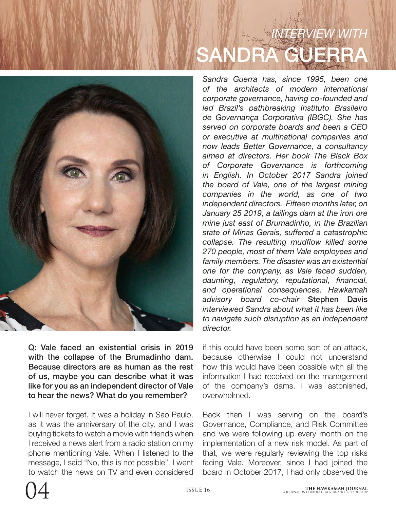# *INTERVIEW WITH* SANDRA GUERRA

*Sandra Guerra has, since 1995, been one of the architects of modern international corporate governance, having co-founded and led Brazil's pathbreaking Instituto Brasileiro de Governança Corporativa (IBGC). She has served on corporate boards and been a CEO or executive at multinational companies and now leads Better Governance, a consultancy aimed at directors. Her book The Black Box of Corporate Governance is forthcoming in English. In October 2017 Sandra joined the board of Vale, one of the largest mining companies in the world, as one of two independent directors. Fifteen months later, on January 25 2019, a tailings dam at the iron ore mine just east of Brumadinho, in the Brazilian state of Minas Gerais, suffered a catastrophic collapse. The resulting mudflow killed some 270 people, most of them Vale employees and family members. The disaster was an existential one for the company, as Vale faced sudden, daunting, regulatory, reputational, financial, and operational consequences. Hawkamah advisory board co-chair* Stephen Davis *interviewed Sandra about what it has been like to navigate such disruption as an independent director.*

Q: Vale faced an existential crisis in 2019 with the collapse of the Brumadinho dam. Because directors are as human as the rest of us, maybe you can describe what it was like for you as an independent director of Vale to hear the news? What do you remember?

I will never forget. It was a holiday in Sao Paulo, as it was the anniversary of the city, and I was buying tickets to watch a movie with friends when I received a news alert from a radio station on my phone mentioning Vale. When I listened to the message, I said "No, this is not possible". I went to watch the news on TV and even considered

if this could have been some sort of an attack, because otherwise I could not understand how this would have been possible with all the information I had received on the management of the company's dams. I was astonished, overwhelmed.

Back then I was serving on the board's Governance, Compliance, and Risk Committee and we were following up every month on the implementation of a new risk model. As part of that, we were regularly reviewing the top risks facing Vale. Moreover, since I had joined the board in October 2017, I had only observed the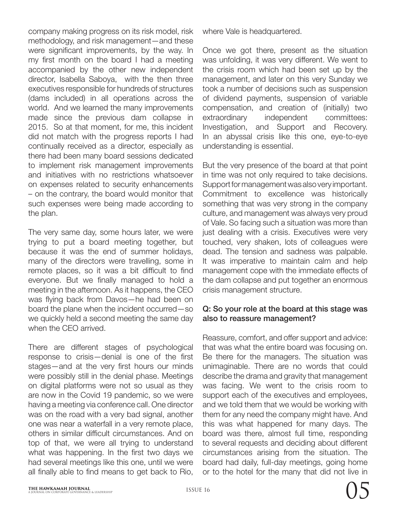company making progress on its risk model, risk methodology, and risk management—and these were significant improvements, by the way. In my first month on the board I had a meeting accompanied by the other new independent director, Isabella Saboya, with the then three executives responsible for hundreds of structures (dams included) in all operations across the world. And we learned the many improvements made since the previous dam collapse in 2015. So at that moment, for me, this incident did not match with the progress reports I had continually received as a director, especially as there had been many board sessions dedicated to implement risk management improvements and initiatives with no restrictions whatsoever on expenses related to security enhancements – on the contrary, the board would monitor that such expenses were being made according to the plan.

The very same day, some hours later, we were trying to put a board meeting together, but because it was the end of summer holidays, many of the directors were travelling, some in remote places, so it was a bit difficult to find everyone. But we finally managed to hold a meeting in the afternoon. As it happens, the CEO was flying back from Davos—he had been on board the plane when the incident occurred—so we quickly held a second meeting the same day when the CEO arrived.

There are different stages of psychological response to crisis—denial is one of the first stages—and at the very first hours our minds were possibly still in the denial phase. Meetings on digital platforms were not so usual as they are now in the Covid 19 pandemic, so we were having a meeting via conference call. One director was on the road with a very bad signal, another one was near a waterfall in a very remote place, others in similar difficult circumstances. And on top of that, we were all trying to understand what was happening. In the first two days we had several meetings like this one, until we were all finally able to find means to get back to Rio,

where Vale is headquartered.

Once we got there, present as the situation was unfolding, it was very different. We went to the crisis room which had been set up by the management, and later on this very Sunday we took a number of decisions such as suspension of dividend payments, suspension of variable compensation, and creation of (initially) two extraordinary independent committees: Investigation, and Support and Recovery. In an abyssal crisis like this one, eye-to-eye understanding is essential.

But the very presence of the board at that point in time was not only required to take decisions. Support for management was also very important. Commitment to excellence was historically something that was very strong in the company culture, and management was always very proud of Vale. So facing such a situation was more than just dealing with a crisis. Executives were very touched, very shaken, lots of colleagues were dead. The tension and sadness was palpable. It was imperative to maintain calm and help management cope with the immediate effects of the dam collapse and put together an enormous crisis management structure.

#### Q: So your role at the board at this stage was also to reassure management?

Reassure, comfort, and offer support and advice: that was what the entire board was focusing on. Be there for the managers. The situation was unimaginable. There are no words that could describe the drama and gravity that management was facing. We went to the crisis room to support each of the executives and employees, and we told them that we would be working with them for any need the company might have. And this was what happened for many days. The board was there, almost full time, responding to several requests and deciding about different circumstances arising from the situation. The board had daily, full-day meetings, going home or to the hotel for the many that did not live in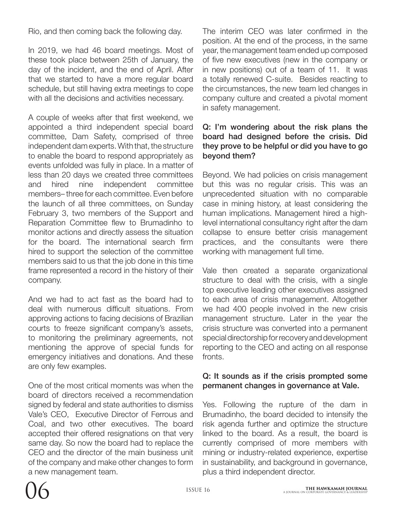Rio, and then coming back the following day.

In 2019, we had 46 board meetings. Most of these took place between 25th of January, the day of the incident, and the end of April. After that we started to have a more regular board schedule, but still having extra meetings to cope with all the decisions and activities necessary.

A couple of weeks after that first weekend, we appointed a third independent special board committee, Dam Safety, comprised of three independent dam experts. With that, the structure to enable the board to respond appropriately as events unfolded was fully in place. In a matter of less than 20 days we created three committees and hired nine independent committee members– three for each committee. Even before the launch of all three committees, on Sunday February 3, two members of the Support and Reparation Committee flew to Brumadinho to monitor actions and directly assess the situation for the board. The international search firm hired to support the selection of the committee members said to us that the job done in this time frame represented a record in the history of their company.

And we had to act fast as the board had to deal with numerous difficult situations. From approving actions to facing decisions of Brazilian courts to freeze significant company's assets, to monitoring the preliminary agreements, not mentioning the approve of special funds for emergency initiatives and donations. And these are only few examples.

One of the most critical moments was when the board of directors received a recommendation signed by federal and state authorities to dismiss Vale's CEO, Executive Director of Ferrous and Coal, and two other executives. The board accepted their offered resignations on that very same day. So now the board had to replace the CEO and the director of the main business unit of the company and make other changes to form a new management team.

The interim CEO was later confirmed in the position. At the end of the process, in the same year, the management team ended up composed of five new executives (new in the company or in new positions) out of a team of 11. It was a totally renewed C-suite. Besides reacting to the circumstances, the new team led changes in company culture and created a pivotal moment in safety management.

# Q: I'm wondering about the risk plans the board had designed before the crisis. Did they prove to be helpful or did you have to go beyond them?

Beyond. We had policies on crisis management but this was no regular crisis. This was an unprecedented situation with no comparable case in mining history, at least considering the human implications. Management hired a highlevel international consultancy right after the dam collapse to ensure better crisis management practices, and the consultants were there working with management full time.

Vale then created a separate organizational structure to deal with the crisis, with a single top executive leading other executives assigned to each area of crisis management. Altogether we had 400 people involved in the new crisis management structure. Later in the year the crisis structure was converted into a permanent special directorship for recovery and development reporting to the CEO and acting on all response fronts.

# Q: It sounds as if the crisis prompted some permanent changes in governance at Vale.

Yes. Following the rupture of the dam in Brumadinho, the board decided to intensify the risk agenda further and optimize the structure linked to the board. As a result, the board is currently comprised of more members with mining or industry-related experience, expertise in sustainability, and background in governance, plus a third independent director.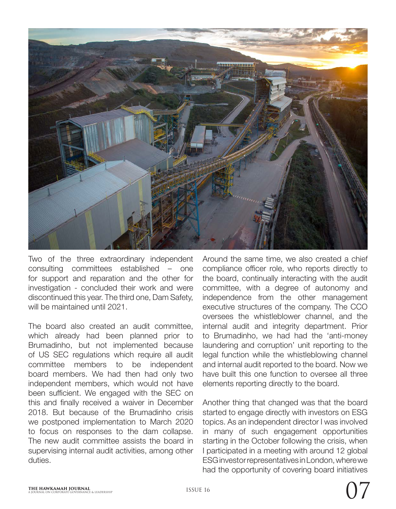

Two of the three extraordinary independent consulting committees established – one for support and reparation and the other for investigation - concluded their work and were discontinued this year. The third one, Dam Safety, will be maintained until 2021.

The board also created an audit committee, which already had been planned prior to Brumadinho, but not implemented because of US SEC regulations which require all audit committee members to be independent board members. We had then had only two independent members, which would not have been sufficient. We engaged with the SEC on this and finally received a waiver in December 2018. But because of the Brumadinho crisis we postponed implementation to March 2020 to focus on responses to the dam collapse. The new audit committee assists the board in supervising internal audit activities, among other duties.

Around the same time, we also created a chief compliance officer role, who reports directly to the board, continually interacting with the audit committee, with a degree of autonomy and independence from the other management executive structures of the company. The CCO oversees the whistleblower channel, and the internal audit and integrity department. Prior to Brumadinho, we had had the 'anti-money laundering and corruption' unit reporting to the legal function while the whistleblowing channel and internal audit reported to the board. Now we have built this one function to oversee all three elements reporting directly to the board.

Another thing that changed was that the board started to engage directly with investors on ESG topics. As an independent director I was involved in many of such engagement opportunities starting in the October following the crisis, when I participated in a meeting with around 12 global ESG investor representatives in London, where we had the opportunity of covering board initiatives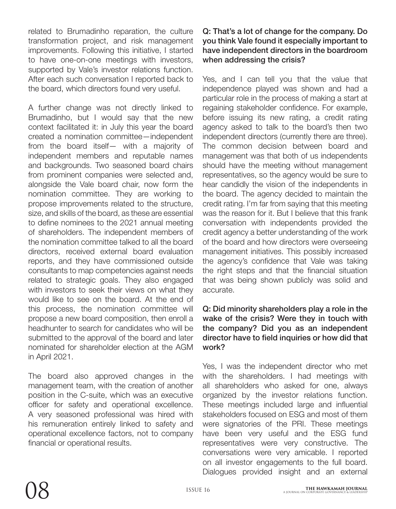related to Brumadinho reparation, the culture transformation project, and risk management improvements. Following this initiative, I started to have one-on-one meetings with investors, supported by Vale's investor relations function. After each such conversation I reported back to the board, which directors found very useful.

A further change was not directly linked to Brumadinho, but I would say that the new context facilitated it: in July this year the board created a nomination committee—independent from the board itself— with a majority of independent members and reputable names and backgrounds. Two seasoned board chairs from prominent companies were selected and, alongside the Vale board chair, now form the nomination committee. They are working to propose improvements related to the structure, size, and skills of the board, as these are essential to define nominees to the 2021 annual meeting of shareholders. The independent members of the nomination committee talked to all the board directors, received external board evaluation reports, and they have commissioned outside consultants to map competencies against needs related to strategic goals. They also engaged with investors to seek their views on what they would like to see on the board. At the end of this process, the nomination committee will propose a new board composition, then enroll a headhunter to search for candidates who will be submitted to the approval of the board and later nominated for shareholder election at the AGM in April 2021.

The board also approved changes in the management team, with the creation of another position in the C-suite, which was an executive officer for safety and operational excellence. A very seasoned professional was hired with his remuneration entirely linked to safety and operational excellence factors, not to company financial or operational results.

# Q: That's a lot of change for the company. Do you think Vale found it especially important to have independent directors in the boardroom when addressing the crisis?

Yes, and I can tell you that the value that independence played was shown and had a particular role in the process of making a start at regaining stakeholder confidence. For example, before issuing its new rating, a credit rating agency asked to talk to the board's then two independent directors (currently there are three). The common decision between board and management was that both of us independents should have the meeting without management representatives, so the agency would be sure to hear candidly the vision of the independents in the board. The agency decided to maintain the credit rating. I'm far from saying that this meeting was the reason for it. But I believe that this frank conversation with independents provided the credit agency a better understanding of the work of the board and how directors were overseeing management initiatives. This possibly increased the agency's confidence that Vale was taking the right steps and that the financial situation that was being shown publicly was solid and accurate.

# Q: Did minority shareholders play a role in the wake of the crisis? Were they in touch with the company? Did you as an independent director have to field inquiries or how did that work?

Yes, I was the independent director who met with the shareholders. I had meetings with all shareholders who asked for one, always organized by the investor relations function. These meetings included large and influential stakeholders focused on ESG and most of them were signatories of the PRI. These meetings have been very useful and the ESG fund representatives were very constructive. The conversations were very amicable. I reported on all investor engagements to the full board. Dialogues provided insight and an external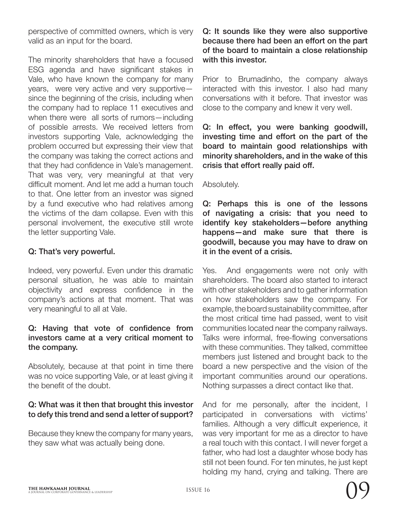perspective of committed owners, which is very valid as an input for the board.

The minority shareholders that have a focused ESG agenda and have significant stakes in Vale, who have known the company for many years, were very active and very supportive since the beginning of the crisis, including when the company had to replace 11 executives and when there were all sorts of rumors—including of possible arrests. We received letters from investors supporting Vale, acknowledging the problem occurred but expressing their view that the company was taking the correct actions and that they had confidence in Vale's management. That was very, very meaningful at that very difficult moment. And let me add a human touch to that. One letter from an investor was signed by a fund executive who had relatives among the victims of the dam collapse. Even with this personal involvement, the executive still wrote the letter supporting Vale.

# Q: That's very powerful.

Indeed, very powerful. Even under this dramatic personal situation, he was able to maintain objectivity and express confidence in the company's actions at that moment. That was very meaningful to all at Vale.

#### Q: Having that vote of confidence from investors came at a very critical moment to the company.

Absolutely, because at that point in time there was no voice supporting Vale, or at least giving it the benefit of the doubt.

# Q: What was it then that brought this investor to defy this trend and send a letter of support?

Because they knew the company for many years, they saw what was actually being done.

# Q: It sounds like they were also supportive because there had been an effort on the part of the board to maintain a close relationship with this investor.

Prior to Brumadinho, the company always interacted with this investor. I also had many conversations with it before. That investor was close to the company and knew it very well.

Q: In effect, you were banking goodwill, investing time and effort on the part of the board to maintain good relationships with minority shareholders, and in the wake of this crisis that effort really paid off.

#### Absolutely.

Q: Perhaps this is one of the lessons of navigating a crisis: that you need to identify key stakeholders—before anything happens—and make sure that there is goodwill, because you may have to draw on it in the event of a crisis.

Yes. And engagements were not only with shareholders. The board also started to interact with other stakeholders and to gather information on how stakeholders saw the company. For example, the board sustainability committee, after the most critical time had passed, went to visit communities located near the company railways. Talks were informal, free-flowing conversations with these communities. They talked, committee members just listened and brought back to the board a new perspective and the vision of the important communities around our operations. Nothing surpasses a direct contact like that.

And for me personally, after the incident, I participated in conversations with victims' families. Although a very difficult experience, it was very important for me as a director to have a real touch with this contact. I will never forget a father, who had lost a daughter whose body has still not been found. For ten minutes, he just kept holding my hand, crying and talking. There are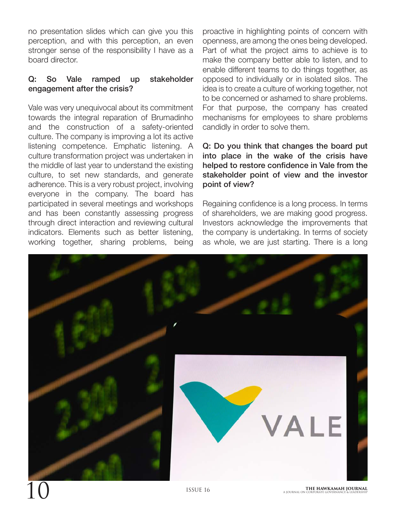no presentation slides which can give you this perception, and with this perception, an even stronger sense of the responsibility I have as a board director.

# Q: So Vale ramped up stakeholder engagement after the crisis?

Vale was very unequivocal about its commitment towards the integral reparation of Brumadinho and the construction of a safety-oriented culture. The company is improving a lot its active listening competence. Emphatic listening. A culture transformation project was undertaken in the middle of last year to understand the existing culture, to set new standards, and generate adherence. This is a very robust project, involving everyone in the company. The board has participated in several meetings and workshops and has been constantly assessing progress through direct interaction and reviewing cultural indicators. Elements such as better listening, working together, sharing problems, being

proactive in highlighting points of concern with openness, are among the ones being developed. Part of what the project aims to achieve is to make the company better able to listen, and to enable different teams to do things together, as opposed to individually or in isolated silos. The idea is to create a culture of working together, not to be concerned or ashamed to share problems. For that purpose, the company has created mechanisms for employees to share problems candidly in order to solve them.

# Q: Do you think that changes the board put into place in the wake of the crisis have helped to restore confidence in Vale from the stakeholder point of view and the investor point of view?

Regaining confidence is a long process. In terms of shareholders, we are making good progress. Investors acknowledge the improvements that the company is undertaking. In terms of society as whole, we are just starting. There is a long